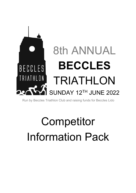

Run by Beccles Triathlon Club and raising funds for Beccles Lido

# **Competitor** Information Pack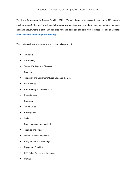Thank you for entering the Beccles Triathlon 2022. We really hope you're looking forward to the 12<sup>th</sup> June as much as we are! This briefing will hopefully answer any questions you have about the event and give you some guidance about what to expect. You can also view and download this pack from the Beccles Triathlon website: **www.becclestri.com/competitor-briefing**

This briefing will give you everything you need to know about:

- Timetable
- § Car Parking
- Toilets, Facilities and Showers
- Baggage
- Transition and Equipment / Extra Baggage Storage
- Swim Waves
- Bike Security and Identification
- Refreshments
- Spectators
- **■** Timing Chips
- § Photography
- § Stalls
- Sports Massage and Medical
- Trophies and Prizes
- On the Day for Competitors
- Relay Teams and Exchange
- Equipment Checklist
- BTF Rules, Advice and Guidance
- Contact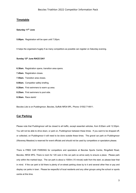# **Timetable**

#### **Saturday 11th June**

**5.00pm.** Registration will be open until 7:30pm.

It helps the organisers hugely if as many competitors as possible can register on Saturday evening.

#### **Sunday 12th June RACE DAY**

- **6.30am.** Registration opens, transition area opens.
- **7.45am.** Registration closes.
- **7.55am.** Transition area closes.
- **8.00am.** Competitor safety briefing.
- **8.20am.** First swimmers to warm up area.
- **8.25am.** First swimmers to pool side.
- **8.30am.** Race starts!

Beccles Lido is on Puddingmoor, Beccles, Suffolk NR34 9PL. Phone: 01502 714911.

## **Car Parking**

Please note that Puddingmoor will be closed to all traffic, except essential vehicles, from 8:00am until 12:30pm. You will not be able to drive down, or park on, Puddingmoor between these times. If you want to be dropped off, or collected, on Puddingmoor it will need to be done outside these times. The gravel car park on Puddingmoor (Waveney Meadow) is reserved for event officials and should not be used by competitors or spectators please.

There is FREE CAR PARKING for competitors and spectators at Beccles Sports Centre, Ringsfield Road, Beccles, NR34 9PG. There is room for 120 cars in this car park so arrive early to ensure a place. Please park only within the marked bays. The car park is about a 1000m (15 minute) walk from the start, so please bear that in mind. If the car park is full there is plenty of on-street parking close by to it and several other free or pay and display car parks in town. Please be respectful of local residents and any other groups using the school or sports centre at this time.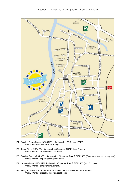

- P1 Beccles Sports Centre, NR35 9PG. 15 min walk. 120 Spaces. **FREE.** What 3 Words – meanders.back.lung.
- P2 Tesco Store, NR34 9EJ. 9 min walk. 390 spaces. **FREE.** (Max 3 hours). What 3 Words – frozen.headed.currently.
- P3 Beccles Quay, NR34 9TB. 15 min walk. 270 spaces. **PAY & DISPLAY.** (Two hours free, ticket required). What 3 Words – pepper.etchings.overdrive.
- P4 Hungate Lane, NR34 9TN. 4 min walk. 66 spaces. **PAY & DISPLAY.** (Max 3 hours). What 3 Words – amplifier.king.minority.
- P5 Newgate, NR34 9QD. 6 min walk. 75 spaces. **PAY & DISPLAY.** (Max 3 hours). What 3 Words – probably.defected.cookbooks.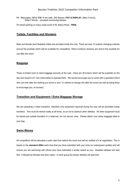P6 - Blyburgate, NR34 9DB. 8 min walk. 255 Spaces. **PAY & DISPLAY.** (Max 3 hours). What 3 Words – proudest.communtig.release.

On-street parking on many roads south of St. Marys Road. **FREE.**

# **Toilets, Facilities and Showers**

Male and female (and disabled) toilets are provided inside the Lido. There are also 14 outdoor changing cubicles around the poolside which will be available for competitors. Warm (outdoor) showers are next to the poolside for use after the event.

## **Baggage**

There is limited room to store baggage securely at the Lido - there are 38 lockers which will be available on the day and require a £1 coin (returnable) to operate them. We would encourage you to come with a spectator friend who can look after the clothing you arrive in and / or clothes to change into after the event (as well as being there to encourage you, of course!).

# **Transition and Equipment / Extra Baggage Storage**

We are operating a 'clean transition', therefore only equipment required during the race will be permitted inside transition. This must be stored neatly at all times, so as not to obstruct other athletes. All other equipment must be stored just outside transition in a reserved, but not secure, area. Please attach your sticky baggage label to your bag.

# **Swim Waves**

All competitors will be allocated a swim start time before the event and will be notified of it at registration. This is based on the **standard 400m** swim time that you have submitted with your entry (or subsequent update) and will ensure you are swimming with others who have estimated a similar speed as you. Disabled athletes will start first. Followed by females and then males. In each group the slower athletes will start first.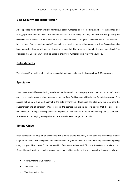## **Bike Security and Identification**

All competitors will be given two race numbers, a sticky numbered label for the bike, another for the helmet, plus a baggage label and will have their number marked on their body. Security marshals will be guarding the entrances to the transition area at all times and you won't be able to rack your bike unless all the numbers match. No one, apart from competitors and officials, will be allowed in the transition area at any time. Competitors who have completed the race will only be allowed to remove their bike from transition after the last runner has left to start their run. Once again, you will be asked to show your numbers before removing your bike.

## **Refreshments**

There is a café at the Lido which will be serving hot and cold drinks and light snacks from 7:30am onwards.

## **Spectators**

It can make a real difference having friends and family around to encourage you and cheer you on, so we'd really encourage people to come along. Access to the Lido from Puddingmoor will be limited for safety reasons. This access will be via a barriered channel at the side of transition. Spectators can also view the race from the Puddingmoor end of transition. Please respect the barriers that are in place to ensure that the race course remains clear. Managed crossing points will be provided. Many thanks for your understanding and co-operation. Spectators accompanying a competitor will be admitted free of charge into the Lido.

# **Timing Chips**

Each competitor will be given an ankle strap with a timing chip to accurately record start and finish times of each stage of the event. The timing chip should be attached to your left ankle (this is to avoid any chance of it getting caught in your bike crank). T1 is the transition from swim to bike and T2 is the transition from bike to run. Competitors will be clearly directed to pass across mats which link to the timing chip which will record as follows:

- Your swim time (plus run into T1).
- § Your time in T1.
- § Your time on the bike.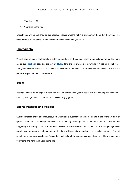- Your time in T2.
- **•** Your time on the run.

Official times will be published on the Beccles Triathlon website within a few hours of the end of the event. Plus there will be a facility at the Lido to check your times as soon as you finish.

# **Photography**

We will have volunteer photographers at the Lido and out on the course. Some of the pictures from earlier years are on our **Facebook** page and the rest are **HERE** (and are still available to download in hi-res for a small fee.) This year's pictures will also be available to download after the event. Your registration fee includes free low-res photos that you can use on Facebook etc.

## **Stalls**

Apologies but we do not expect to have any stalls on poolside this year to assist with last minute purchases and support, although the Lido does sell (basic) swimming goggles.

# **Sports Massage and Medical**

Qualified medical crews and lifeguards, both with first aid qualifications, will be on hand at the event. A team of qualified and trainee massage therapists will be offering massage before and after the race and we are suggesting a voluntary contribution of £5 – with resultant funds going to support the Lido. If at any point you feel unwell, have an accident or simply want to stop there will be plenty of marshals around to help, summon first aid or get you emergency assistance. Please don't just walk off the course. Always let a marshal know, give them your name and hand them your timing chip.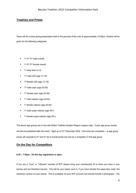# **Trophies and Prizes**

There will be a prize giving presentation held in the grounds of the Lido at approximately 12:30pm. Awards will be given for the following categories:

- $\blacksquare$  1st 2<sup>nd</sup> 3<sup>rd</sup> male overall.
- 1<sup>st</sup> 2<sup>nd</sup> 3<sup>rd</sup> female overall.
- $1<sup>st</sup>$  relay team (x 3)
- 1st male U20 (age 17-19)
- $\blacksquare$  1<sup>st</sup> female U20 (age 17-19)
- 1<sup>st</sup> male open (age 20-39)
- $\blacksquare$  1<sup>st</sup> female open (age 20-39)
- $\blacksquare$  1<sup>st</sup> male veteran (age 40-54)
- 1<sup>st</sup> female veteran (age 40-54)
- $\blacksquare$  1<sup>st</sup> male super-veteran (age 55+)
- 1<sup>st</sup> female super-veteran (age 55+)

The above age groups are in line with British Triathlon Eastern Region League rules. 5 year age group results will also be published after the event. Ages as of 31<sup>st</sup> December 2022. One prize per competitor – ie age group prizes will cascade to 2<sup>nd</sup> and 3<sup>rd</sup> etc if overall prizes are won by a competitor in that age group.

## **On the Day for Competitors**

#### **6.30 – 7.45am. On the day registration is open.**

If you are a "Core" or "Ultimate" member of BTF please bring your membership ID to show you have a race license and are therefore insured. This will be your paper card or, if you have elected the paper-less route, the electronic version on your phone. This is available via your BTF account and should include a photograph. The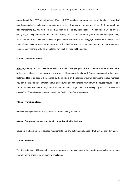renewal email from BTF will not suffice. "Essential" BTF members and non-members will be given a "one day" race license (which should have been paid for on entry – if not you will be charged £5 cash). If you forget your BTF membership ID, you will be charged £5 cash for a "one day" race license. All competitors will be given a goody bag, a timing chip (to put round your left ankle), 2 race numbers (one for your front and one for your back), a sticky label for your bike and another for your helmet and one for your baggage. Please write details of any medical conditions we need to be aware of on the back of your race numbers together with an emergency contact. Body marking will also take place. Key triathlon rules will be posted.

#### **6.30am. Transition opens.**

**After** registering, rack your bike in transition. A marshal will give your bike and helmet a visual safety check. Note – bike helmets are compulsory and you will not be allowed to take part if yours is damaged or incorrectly fastened. Racking places will be defined by the numbers on the racking which will correspond to race numbers. You can then spend time in transition laying out your kit and familiarizing yourself with the routes through T1 and T2. All athletes will pass through the main body of transition (T1 and T2) travelling "up the hill" to avoid any contra-flow. There is no advantage, overall, in a "high" or "low" racking position.

#### **7.55am. Transition closes.**

Please ensure you have racked your bike before the safety brief starts.

#### **8.00am. Compulsory safety brief for all competitors inside the Lido.**

Covering the basic safety rules, race requirements plus any last minute changes. It will last around 10 minutes.

#### **8.20am. Warm up.**

The first swimmers will be called to the warm-up area by the small pool in the Lido in race number order. You can wait on the grass or warm up in the small pool.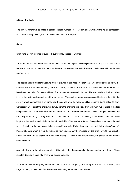#### **8.25am. Poolside**

The first swimmers will be called to poolside in race number order– we aim to always have the next 6 competitors at poolside waiting to start, with later swimmers in the warm-up area.

#### **Swim**

Swim hats are not required or supplied, but you may choose to wear one.

It is important that you are on time for your start as your timing chip will be synchronized. If you are late we may be able to slot you in later, but this is at the sole discretion of the Swim Manager. Swimmers will start in race number order.

The pool is heated therefore wetsuits are not allowed in this race. Neither can calf guards (covering below the knee) or full arm tri-suits (covering below the elbow) be worn for the swim. The swim distance is **420m / 14 lengths of the Lido.** Swimmers will start from 8:30am at 30 second intervals. The start official will tell you when to enter the water and you will be told when to start. There will be a narrow non-competitive lane adjacent to the slide in which competitors may familiarize themselves with the water conditions prior to being called to start. Competitors will start at the shallow end away from the changing cubicles. They will swim **two lengths** in the first competitive lane. They will duck under the lane rope at the **shallow end** and then swim 2 lengths in each of the remaining six lanes by snaking across the pool towards the cubicles and ducking under the lane rope every two lengths at the shallow end. Swim on the left hand side of the lane at all times. Competitors must touch the end wall to finish the swim, but may exit via the steps if they wish. Follow the marked course into transition (Swim In). Please take care when exiting the water, as your balance may be impaired by the swim. Overtaking etiquette during the swim will be explained at the race briefing. Tumble turns are permitted, but please do not impede other swimmers.

Also note, this year the exit from poolside will be adjacent to the deep end of the pool, and not at half way. There is a step down so please take care when exiting poolside.

In an emergency in the pool, please turn onto your back and put your hand up in the air. This indicates to a lifeguard that you need help. For this reason, swimming backstroke is not allowed.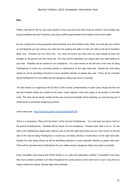#### **Bike**

Please note that for the run and cycle sections of the race your front torso must be covered. This includes zips being completely shut and if wearing a two piece outfit the gap between top & bottom must not be visible.

All your cycling and running equipment should already be in the transition area. When you have got your helmet on and fastened you can remove your bike from the racking and walk/ run with your bike to the exit of transition (Bike Out). Proceed over the mount line. You must not mount your bike until you have placed at least one footstep on the ground over the mount line. This area will be marshaled, but, please take care when getting on your bike. Penalties will be issued for non-compliance**.** You must remain on the left side of the road all along Puddingmoor to avoid any oncoming vehicles or obstructions on the right hand side. Despite the road being closed we will be permitting entry/exit to some essential vehicles so please take care. There will be marshals along Puddingmoor for your safety and any dangerous riding may result in a penalty.

The bike section is a single lap of the 20.3km (12.6m) course, predominantly on open roads, though the first and last few hundred metres are closed for the event. Usual Highway Code rules apply on all sections of the bike route. The route will be clearly marked all the way round and marshals will be directing you and warning you of sharp bends or potentially dangerous junctions.

Link to bike route - http://connect.garmin.com/course/2030139

There is a compulsory "Stop and Foot Down" at the exit from Puddingmoor. You must stop and place a foot on the ground simultaneously. Penalties will be issued for non-compliance. Proceed when safe to do so. On the return into Puddingmoor please take extreme care on the first right hand bend and you must remain on the left side of the road all along Puddingmoor to avoid any oncoming vehicles or obstructions on the right hand side. Despite the road being closed we will be permitting entry/exit to some essential vehicles so please take care. There will be marshals along Puddingmoor for your safety and any dangerous riding may result in a penalty.

Every competitor must ensure that his/her bicycle is in a safe and roadworthy condition. Competitors must wear their race numbers provided at all times throughout the cycling section of the event and in such a way that it is clearly visible from behind. Number belts will be allowed.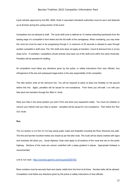Cycle helmets approved by the BSI, ANSI, Snell or equivalent standards authorities must be worn and fastened up at all times during the cycling section of the event.

Competitors are not allowed to draft. The cycle draft zone is defined as 10 metres extending backwards from the leading edge of a competitor's front wheel and the full width of the carriageway. When overtaking, you may enter this zone but must be seen to be progressing through it. A maximum of 20 seconds is allowed to pass through another competitor's draft zone. The 10m draft zone does not apply at transition, mount & dismount line or at any sharp turns. If overtaken, competitors should actively drop back out of the draft zone within the same timescale. Penalties will be awarded for drafting.

All competitors must follow any directions given by the police, or safety instructions from race officials. Any infringement of the law and subsequent legal action is the sole responsibility of the competitor.

The bike section ends at the dismount line. You will be required to place at least one footstep on the ground before this line. Again, penalties will be issued for non-compliance. From there you will walk / run with your bike back into transition through the 'Bike In' chute.

Rack your bike in the same position you took it from and store your equipment neatly. You must not unfasten or remove your helmet until your bike is racked – penalties will be issued for non-compliance. Then follow the 'Run Out' chute.

#### **Run**

The run section is a 6.7km (4.1m) loop along public roads and footpaths including the River Waveney tow path. The first and last few hundred metres are closed as per the bike route. The route will be clearly marked with signs and marshals will direct you. Usual Highway Code rules apply to all sections of the route that are on the public highway. Sections of the route are uneven underfoot with a steep gradient in places. Appropriate footwear is recommended.

Link to run route - http://connect.garmin.com/course/2030162

Race numbers must be securely fixed and clearly visible from the front at all times. Number belts will be allowed. Competitors must follow any directions given by the police or safety instructions of race officials.

12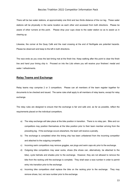There will be two water stations, at approximately one third and two thirds distance of the run leg. These water stations will be physically in the same location as each other and accessed from both directions. Please be aware of other runners at this point. Please drop your cups close to the water station so as to assist us in clearing up.

Likewise, the corner at the Quay Café and the road crossing at the end of Northgate are potential hazards. Please be observant and keep to the left in both directions.

The race ends as you cross the last timing mat at the finish line. Keep walking after this point to clear the finish line and hand your timing chip in. Proceed on into the Lido where you will receive your finishers' medal and water / refreshments.

## **Relay Teams and Exchange**

Relay teams may comprise 2 or 3 competitors. Please can all members of the team register together for documents to be checked and issued. The same rules shall apply to all members of relay teams, except for relay exchange.

The relay rules are designed to ensure that the exchange is fair and safe and, as far as possible, reflect the requirements placed on the individual competitors.

- a) The relay exchange will take place at the bike position in transition. There is no relay pen. Bike and run competitors may position themselves at the bike position prior to their team member arriving from the preceding leg. If the exchange occurs elsewhere, the team will receive a penalty.
- b) The exchange is completed when the timing chip has been unfastened from the incoming competitor and attached to the outgoing competitor.
- c) Incoming swim competitors may remove goggles, ear plugs and swim caps etc prior to the exchange.
- d) Outgoing bike competitors may wear socks, shoes (the shoes can, alternatively, be attached to the bike), cycle helmets and shades prior to the exchange. However, they are not allowed to remove the bike from the racking until the exchange is complete. They shall wear a race number in order to permit entry into transition prior to the exchange.
- e) Incoming bike competitors shall replace the bike on the racking prior to the exchange. They may remove shoes, but, not race number prior to the exchange.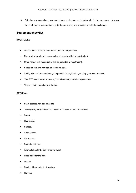f) Outgoing run competitors may wear shoes, socks, cap and shades prior to the exchange. However, they shall wear a race number in order to permit entry into transition prior to the exchange.

# **Equipment checklist**

## **MUST HAVES**

- Outfit in which to swim, bike and run (weather dependent).
- Roadworthy bicycle with race number sticker (provided at registration).
- Cycle helmet with race number sticker (provided at registration).
- Shoes for bike and run (can be the same pair).
- Safety pins and race numbers (both provided at registration) or bring your own race belt.
- Your BTF race license or "one day" race license (provided at registration).
- Timing chip (provided at registration).

#### **OPTIONAL**

- Swim goggles, hat, ear plugs etc.
- Towel (to dry feet) and / or talc / vaseline (to ease shoes onto wet feet).
- § Socks.
- Rain jacket.
- Shades.
- Cycle gloves.
- § Cycle pump.
- Spare inner tubes.
- Warm clothes for before / after the event.
- **•** Filled bottle for the bike.
- Gel fuel.
- Small bottle of water for transition.
- Run cap.